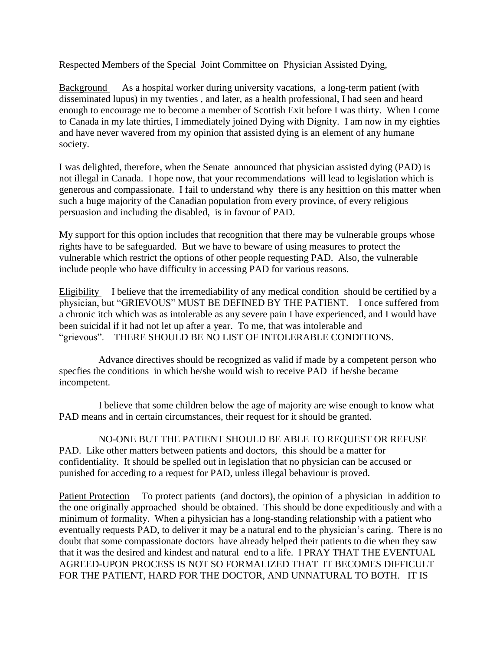Respected Members of the Special Joint Committee on Physician Assisted Dying,

Background As a hospital worker during university vacations, a long-term patient (with disseminated lupus) in my twenties , and later, as a health professional, I had seen and heard enough to encourage me to become a member of Scottish Exit before I was thirty. When I come to Canada in my late thirties, I immediately joined Dying with Dignity. I am now in my eighties and have never wavered from my opinion that assisted dying is an element of any humane society.

I was delighted, therefore, when the Senate announced that physician assisted dying (PAD) is not illegal in Canada. I hope now, that your recommendations will lead to legislation which is generous and compassionate. I fail to understand why there is any hesittion on this matter when such a huge majority of the Canadian population from every province, of every religious persuasion and including the disabled, is in favour of PAD.

My support for this option includes that recognition that there may be vulnerable groups whose rights have to be safeguarded. But we have to beware of using measures to protect the vulnerable which restrict the options of other people requesting PAD. Also, the vulnerable include people who have difficulty in accessing PAD for various reasons.

Eligibility I believe that the irremediability of any medical condition should be certified by a physician, but "GRIEVOUS" MUST BE DEFINED BY THE PATIENT. I once suffered from a chronic itch which was as intolerable as any severe pain I have experienced, and I would have been suicidal if it had not let up after a year. To me, that was intolerable and "grievous". THERE SHOULD BE NO LIST OF INTOLERABLE CONDITIONS.

Advance directives should be recognized as valid if made by a competent person who specfies the conditions in which he/she would wish to receive PAD if he/she became incompetent.

I believe that some children below the age of majority are wise enough to know what PAD means and in certain circumstances, their request for it should be granted.

NO-ONE BUT THE PATIENT SHOULD BE ABLE TO REQUEST OR REFUSE PAD. Like other matters between patients and doctors, this should be a matter for confidentiality. It should be spelled out in legislation that no physician can be accused or punished for acceding to a request for PAD, unless illegal behaviour is proved.

Patient Protection To protect patients (and doctors), the opinion of a physician in addition to the one originally approached should be obtained. This should be done expeditiously and with a minimum of formality. When a pihysician has a long-standing relationship with a patient who eventually requests PAD, to deliver it may be a natural end to the physician's caring. There is no doubt that some compassionate doctors have already helped their patients to die when they saw that it was the desired and kindest and natural end to a life. I PRAY THAT THE EVENTUAL AGREED-UPON PROCESS IS NOT SO FORMALIZED THAT IT BECOMES DIFFICULT FOR THE PATIENT, HARD FOR THE DOCTOR, AND UNNATURAL TO BOTH. IT IS